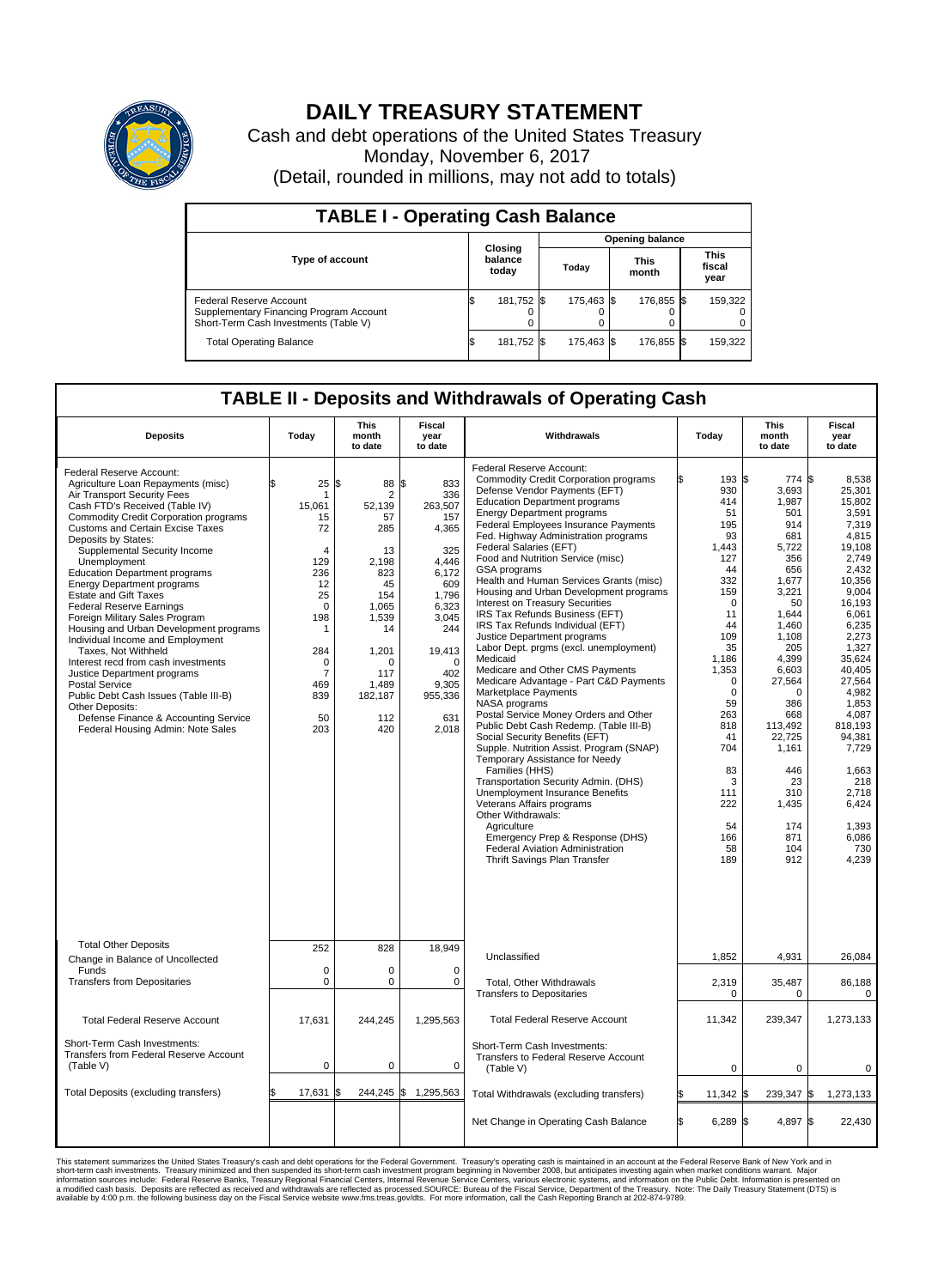

## **DAILY TREASURY STATEMENT**

Cash and debt operations of the United States Treasury Monday, November 6, 2017 (Detail, rounded in millions, may not add to totals)

| <b>TABLE I - Operating Cash Balance</b>                                                                     |    |                             |  |                        |  |                      |  |                               |  |  |  |
|-------------------------------------------------------------------------------------------------------------|----|-----------------------------|--|------------------------|--|----------------------|--|-------------------------------|--|--|--|
|                                                                                                             |    | Closing<br>balance<br>today |  | <b>Opening balance</b> |  |                      |  |                               |  |  |  |
| <b>Type of account</b>                                                                                      |    |                             |  | Today                  |  | <b>This</b><br>month |  | <b>This</b><br>fiscal<br>year |  |  |  |
| Federal Reserve Account<br>Supplementary Financing Program Account<br>Short-Term Cash Investments (Table V) |    | 181,752 \$                  |  | 175.463 \$             |  | 176,855 \$           |  | 159,322                       |  |  |  |
| <b>Total Operating Balance</b>                                                                              | IЭ | 181,752 \$                  |  | 175.463 \$             |  | 176,855 \$           |  | 159,322                       |  |  |  |

## **TABLE II - Deposits and Withdrawals of Operating Cash**

| <b>Deposits</b>                                                                                                                                                                                                                                                                                                                                                                                                                                                                                                                                                                                                                                                                                                                                                                                                                  | Today                                                                                                                                                                                     | <b>This</b><br>month<br>to date                                                                                                                                      | <b>Fiscal</b><br>year<br>to date                                                                                                                                                  | Withdrawals                                                                                                                                                                                                                                                                                                                                                                                                                                                                                                                                                                                                                                                                                                                                                                                                                                                                                                                                                                                                                                                                                                                                                                                                                                   | Today                                                                                                                                                                                                                                              | <b>This</b><br>month<br>to date                                                                                                                                                                                                                                                | <b>Fiscal</b><br>year<br>to date                                                                                                                                                                                                                                                                             |
|----------------------------------------------------------------------------------------------------------------------------------------------------------------------------------------------------------------------------------------------------------------------------------------------------------------------------------------------------------------------------------------------------------------------------------------------------------------------------------------------------------------------------------------------------------------------------------------------------------------------------------------------------------------------------------------------------------------------------------------------------------------------------------------------------------------------------------|-------------------------------------------------------------------------------------------------------------------------------------------------------------------------------------------|----------------------------------------------------------------------------------------------------------------------------------------------------------------------|-----------------------------------------------------------------------------------------------------------------------------------------------------------------------------------|-----------------------------------------------------------------------------------------------------------------------------------------------------------------------------------------------------------------------------------------------------------------------------------------------------------------------------------------------------------------------------------------------------------------------------------------------------------------------------------------------------------------------------------------------------------------------------------------------------------------------------------------------------------------------------------------------------------------------------------------------------------------------------------------------------------------------------------------------------------------------------------------------------------------------------------------------------------------------------------------------------------------------------------------------------------------------------------------------------------------------------------------------------------------------------------------------------------------------------------------------|----------------------------------------------------------------------------------------------------------------------------------------------------------------------------------------------------------------------------------------------------|--------------------------------------------------------------------------------------------------------------------------------------------------------------------------------------------------------------------------------------------------------------------------------|--------------------------------------------------------------------------------------------------------------------------------------------------------------------------------------------------------------------------------------------------------------------------------------------------------------|
| Federal Reserve Account:<br>Agriculture Loan Repayments (misc)<br>Air Transport Security Fees<br>Cash FTD's Received (Table IV)<br><b>Commodity Credit Corporation programs</b><br><b>Customs and Certain Excise Taxes</b><br>Deposits by States:<br>Supplemental Security Income<br>Unemployment<br><b>Education Department programs</b><br><b>Energy Department programs</b><br><b>Estate and Gift Taxes</b><br><b>Federal Reserve Earnings</b><br>Foreign Military Sales Program<br>Housing and Urban Development programs<br>Individual Income and Employment<br>Taxes, Not Withheld<br>Interest recd from cash investments<br>Justice Department programs<br><b>Postal Service</b><br>Public Debt Cash Issues (Table III-B)<br>Other Deposits:<br>Defense Finance & Accounting Service<br>Federal Housing Admin: Note Sales | 25<br>\$<br>-1<br>15,061<br>15<br>72<br>$\overline{4}$<br>129<br>236<br>12<br>25<br>$\mathbf 0$<br>198<br>$\mathbf{1}$<br>284<br>$\mathbf 0$<br>$\overline{7}$<br>469<br>839<br>50<br>203 | 1\$<br>88<br>$\overline{2}$<br>52,139<br>57<br>285<br>13<br>2,198<br>823<br>45<br>154<br>1.065<br>1,539<br>14<br>1,201<br>O<br>117<br>1,489<br>182,187<br>112<br>420 | \$<br>833<br>336<br>263,507<br>157<br>4,365<br>325<br>4.446<br>6.172<br>609<br>1,796<br>6.323<br>3,045<br>244<br>19,413<br>$\mathbf 0$<br>402<br>9,305<br>955,336<br>631<br>2,018 | Federal Reserve Account:<br><b>Commodity Credit Corporation programs</b><br>Defense Vendor Payments (EFT)<br><b>Education Department programs</b><br><b>Energy Department programs</b><br>Federal Employees Insurance Payments<br>Fed. Highway Administration programs<br>Federal Salaries (EFT)<br>Food and Nutrition Service (misc)<br><b>GSA</b> programs<br>Health and Human Services Grants (misc)<br>Housing and Urban Development programs<br>Interest on Treasury Securities<br>IRS Tax Refunds Business (EFT)<br>IRS Tax Refunds Individual (EFT)<br>Justice Department programs<br>Labor Dept. prgms (excl. unemployment)<br>Medicaid<br>Medicare and Other CMS Payments<br>Medicare Advantage - Part C&D Payments<br>Marketplace Payments<br>NASA programs<br>Postal Service Money Orders and Other<br>Public Debt Cash Redemp. (Table III-B)<br>Social Security Benefits (EFT)<br>Supple. Nutrition Assist. Program (SNAP)<br>Temporary Assistance for Needy<br>Families (HHS)<br>Transportation Security Admin. (DHS)<br>Unemployment Insurance Benefits<br>Veterans Affairs programs<br>Other Withdrawals:<br>Agriculture<br>Emergency Prep & Response (DHS)<br>Federal Aviation Administration<br>Thrift Savings Plan Transfer | 193S<br>930<br>414<br>51<br>195<br>93<br>1.443<br>127<br>44<br>332<br>159<br>$\mathbf 0$<br>11<br>44<br>109<br>35<br>1,186<br>1,353<br>$\Omega$<br>$\mathbf 0$<br>59<br>263<br>818<br>41<br>704<br>83<br>3<br>111<br>222<br>54<br>166<br>58<br>189 | $774$ \\$<br>3,693<br>1,987<br>501<br>914<br>681<br>5,722<br>356<br>656<br>1,677<br>3,221<br>50<br>1.644<br>1,460<br>1,108<br>205<br>4,399<br>6,603<br>27,564<br>$\Omega$<br>386<br>668<br>113,492<br>22,725<br>1,161<br>446<br>23<br>310<br>1,435<br>174<br>871<br>104<br>912 | 8.538<br>25,301<br>15,802<br>3.591<br>7,319<br>4.815<br>19.108<br>2,749<br>2,432<br>10.356<br>9,004<br>16,193<br>6.061<br>6,235<br>2,273<br>1,327<br>35,624<br>40,405<br>27,564<br>4,982<br>1,853<br>4,087<br>818.193<br>94,381<br>7,729<br>1,663<br>218<br>2,718<br>6,424<br>1,393<br>6,086<br>730<br>4,239 |
| <b>Total Other Deposits</b>                                                                                                                                                                                                                                                                                                                                                                                                                                                                                                                                                                                                                                                                                                                                                                                                      | 252                                                                                                                                                                                       | 828                                                                                                                                                                  | 18,949                                                                                                                                                                            | Unclassified                                                                                                                                                                                                                                                                                                                                                                                                                                                                                                                                                                                                                                                                                                                                                                                                                                                                                                                                                                                                                                                                                                                                                                                                                                  | 1,852                                                                                                                                                                                                                                              | 4,931                                                                                                                                                                                                                                                                          | 26,084                                                                                                                                                                                                                                                                                                       |
| Change in Balance of Uncollected<br>Funds                                                                                                                                                                                                                                                                                                                                                                                                                                                                                                                                                                                                                                                                                                                                                                                        | $\mathbf 0$                                                                                                                                                                               | 0                                                                                                                                                                    | $\mathbf 0$                                                                                                                                                                       |                                                                                                                                                                                                                                                                                                                                                                                                                                                                                                                                                                                                                                                                                                                                                                                                                                                                                                                                                                                                                                                                                                                                                                                                                                               |                                                                                                                                                                                                                                                    |                                                                                                                                                                                                                                                                                |                                                                                                                                                                                                                                                                                                              |
| <b>Transfers from Depositaries</b>                                                                                                                                                                                                                                                                                                                                                                                                                                                                                                                                                                                                                                                                                                                                                                                               | $\mathbf 0$                                                                                                                                                                               | 0                                                                                                                                                                    | 0                                                                                                                                                                                 | <b>Total, Other Withdrawals</b><br><b>Transfers to Depositaries</b>                                                                                                                                                                                                                                                                                                                                                                                                                                                                                                                                                                                                                                                                                                                                                                                                                                                                                                                                                                                                                                                                                                                                                                           | 2,319<br>$\mathbf 0$                                                                                                                                                                                                                               | 35,487<br>$\mathbf 0$                                                                                                                                                                                                                                                          | 86,188<br>$\pmb{0}$                                                                                                                                                                                                                                                                                          |
| <b>Total Federal Reserve Account</b>                                                                                                                                                                                                                                                                                                                                                                                                                                                                                                                                                                                                                                                                                                                                                                                             | 17,631                                                                                                                                                                                    | 244,245                                                                                                                                                              | 1,295,563                                                                                                                                                                         | <b>Total Federal Reserve Account</b>                                                                                                                                                                                                                                                                                                                                                                                                                                                                                                                                                                                                                                                                                                                                                                                                                                                                                                                                                                                                                                                                                                                                                                                                          | 11,342                                                                                                                                                                                                                                             | 239,347                                                                                                                                                                                                                                                                        | 1,273,133                                                                                                                                                                                                                                                                                                    |
| Short-Term Cash Investments:<br><b>Transfers from Federal Reserve Account</b><br>(Table V)                                                                                                                                                                                                                                                                                                                                                                                                                                                                                                                                                                                                                                                                                                                                       | $\pmb{0}$                                                                                                                                                                                 | 0                                                                                                                                                                    | 0                                                                                                                                                                                 | Short-Term Cash Investments:<br>Transfers to Federal Reserve Account<br>(Table V)                                                                                                                                                                                                                                                                                                                                                                                                                                                                                                                                                                                                                                                                                                                                                                                                                                                                                                                                                                                                                                                                                                                                                             | 0                                                                                                                                                                                                                                                  | $\mathbf 0$                                                                                                                                                                                                                                                                    | 0                                                                                                                                                                                                                                                                                                            |
| Total Deposits (excluding transfers)                                                                                                                                                                                                                                                                                                                                                                                                                                                                                                                                                                                                                                                                                                                                                                                             | 17,631                                                                                                                                                                                    | 244,245                                                                                                                                                              | \$<br>1,295,563                                                                                                                                                                   | Total Withdrawals (excluding transfers)                                                                                                                                                                                                                                                                                                                                                                                                                                                                                                                                                                                                                                                                                                                                                                                                                                                                                                                                                                                                                                                                                                                                                                                                       | $11,342$ \$                                                                                                                                                                                                                                        | 239,347 \$                                                                                                                                                                                                                                                                     | 1,273,133                                                                                                                                                                                                                                                                                                    |
|                                                                                                                                                                                                                                                                                                                                                                                                                                                                                                                                                                                                                                                                                                                                                                                                                                  |                                                                                                                                                                                           |                                                                                                                                                                      |                                                                                                                                                                                   | Net Change in Operating Cash Balance                                                                                                                                                                                                                                                                                                                                                                                                                                                                                                                                                                                                                                                                                                                                                                                                                                                                                                                                                                                                                                                                                                                                                                                                          | Ŝ.<br>$6,289$ \$                                                                                                                                                                                                                                   | 4,897 \$                                                                                                                                                                                                                                                                       | 22,430                                                                                                                                                                                                                                                                                                       |

This statement summarizes the United States Treasury's cash and debt operations for the Federal Government. Treasury soperating in November 2008, but anticiarde in a cocount at the Federal Reserve Bank of New York and in<br>s